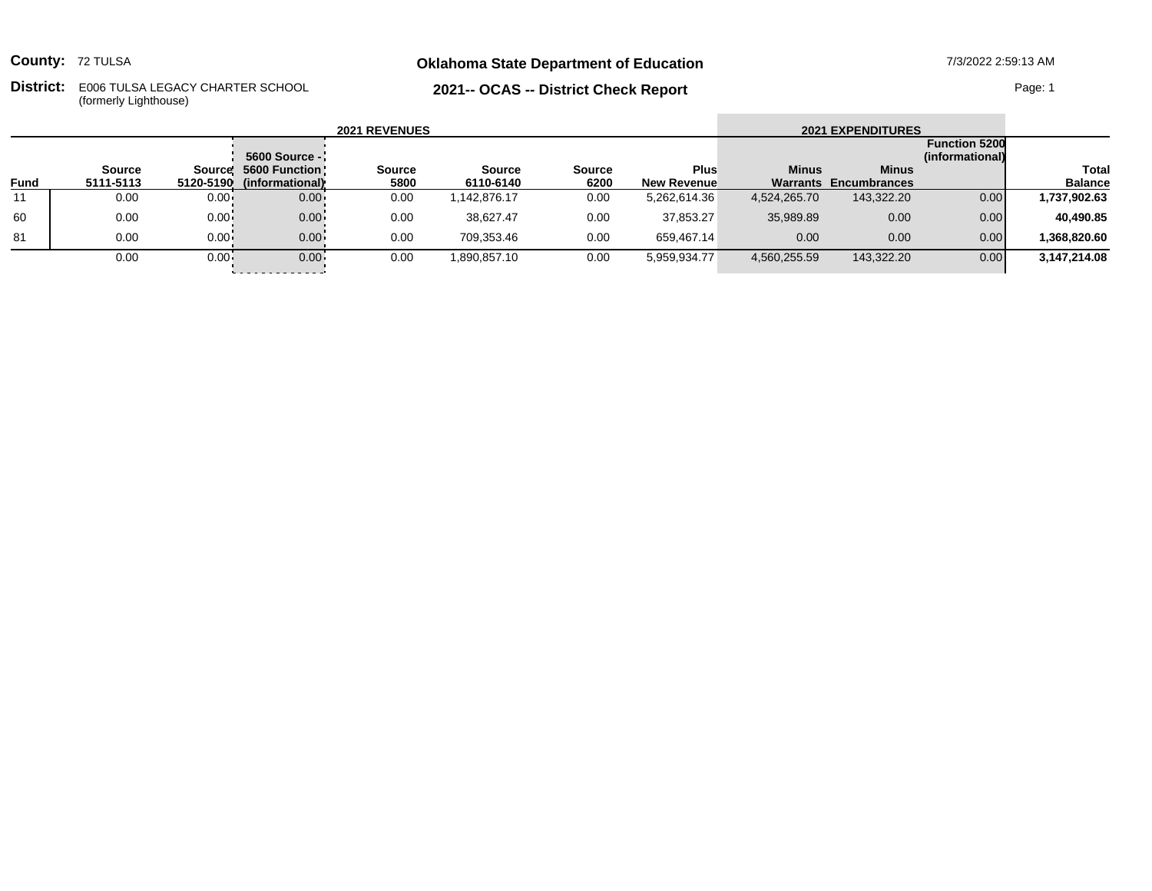**County:** 72 TULSA

## **Oklahoma State Department of Education** 7/3/2022 2:59:13 AM

**District:** E006 TULSA LEGACY CHARTER SCHOOL Page: 1 (formerly Lighthouse)

## **2021-- OCAS -- District Check Report**

| <b>2021 REVENUES</b> |           |              |                           |               |               |        |                    |              | <b>2021 EXPENDITURES</b>     |                                         |                |
|----------------------|-----------|--------------|---------------------------|---------------|---------------|--------|--------------------|--------------|------------------------------|-----------------------------------------|----------------|
|                      |           |              | 5600 Source -             |               |               |        |                    |              |                              | <b>Function 5200</b><br>(informational) |                |
|                      | Source    |              | Source! 5600 Function!    | <b>Source</b> | <b>Source</b> | Source | <b>Plus</b>        | <b>Minus</b> | <b>Minus</b>                 |                                         | Total          |
| <b>Fund</b>          | 5111-5113 |              | 5120-5190 (informational) | 5800          | 6110-6140     | 6200   | <b>New Revenue</b> |              | <b>Warrants Encumbrances</b> |                                         | <b>Balance</b> |
| 11                   | 0.00      | $0.00 -$     | $0.00 -$                  | 0.00          | 1,142,876.17  | 0.00   | 5,262,614.36       | 4,524,265.70 | 143,322.20                   | 0.00                                    | 1,737,902.63   |
| 60                   | 0.00      | $0.00 -$     | $0.00 -$                  | 0.00          | 38.627.47     | 0.00   | 37,853.27          | 35,989.89    | 0.00                         | 0.00                                    | 40,490.85      |
| 81                   | 0.00      | $0.00 -$     | $0.00 -$                  | 0.00          | 709.353.46    | 0.00   | 659.467.14         | 0.00         | 0.00                         | 0.00                                    | 368.820.60     |
|                      | 0.00      | $0.00 \cdot$ | $0.00 \cdot$              | 0.00          | 1,890,857.10  | 0.00   | 5,959,934.77       | 4,560,255.59 | 143,322.20                   | 0.00                                    | 3,147,214.08   |